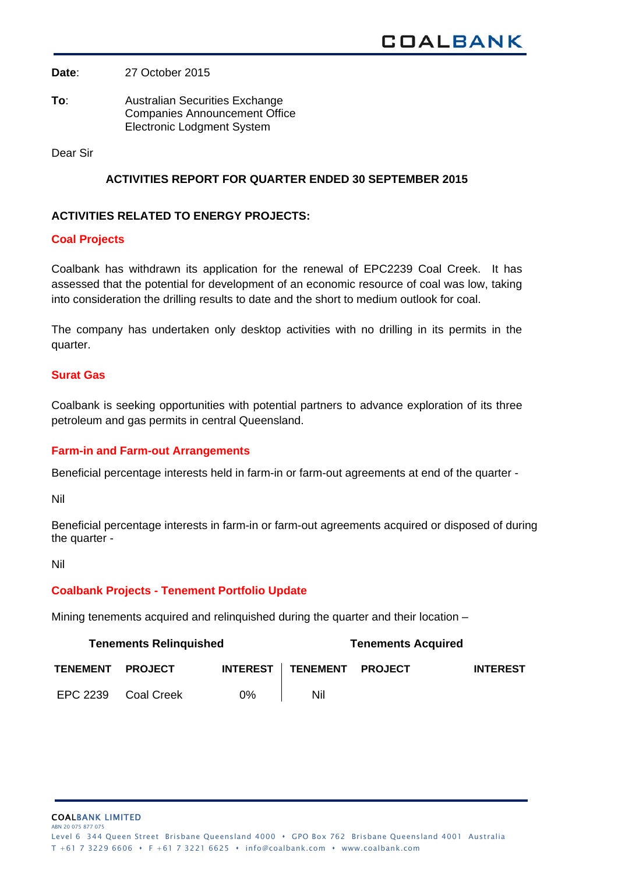**Date**: 27 October 2015

**To**: Australian Securities Exchange Companies Announcement Office Electronic Lodgment System

Dear Sir

# **ACTIVITIES REPORT FOR QUARTER ENDED 30 SEPTEMBER 2015**

## **ACTIVITIES RELATED TO ENERGY PROJECTS:**

### **Coal Projects**

Coalbank has withdrawn its application for the renewal of EPC2239 Coal Creek. It has assessed that the potential for development of an economic resource of coal was low, taking into consideration the drilling results to date and the short to medium outlook for coal.

The company has undertaken only desktop activities with no drilling in its permits in the quarter.

## **Surat Gas**

Coalbank is seeking opportunities with potential partners to advance exploration of its three petroleum and gas permits in central Queensland.

#### **Farm-in and Farm-out Arrangements**

Beneficial percentage interests held in farm-in or farm-out agreements at end of the quarter -

Nil

Beneficial percentage interests in farm-in or farm-out agreements acquired or disposed of during the quarter -

Nil

#### **Coalbank Projects - Tenement Portfolio Update**

Mining tenements acquired and relinquished during the quarter and their location –

| <b>Tenements Relinguished</b> |                |                 | <b>Tenements Acquired</b> |  |                 |
|-------------------------------|----------------|-----------------|---------------------------|--|-----------------|
| <b>TENEMENT</b>               | <b>PROJECT</b> | <b>INTEREST</b> | TENEMENT PROJECT          |  | <b>INTEREST</b> |
| EPC 2239                      | Coal Creek     | $0\%$           | Nil                       |  |                 |